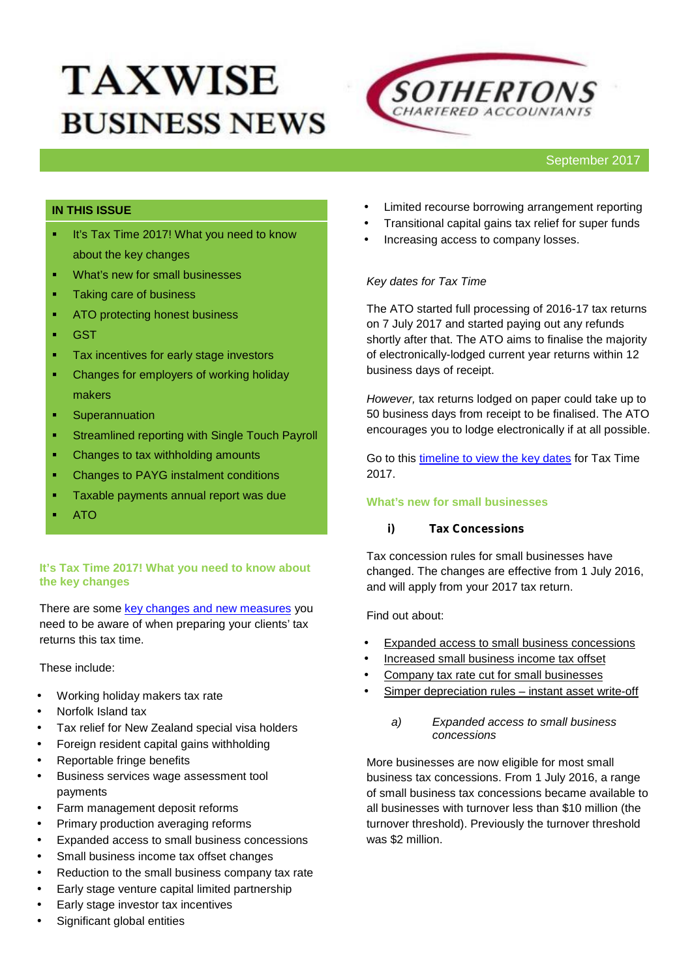# **TAXWISE BUSINESS NEWS**



## **IN THIS ISSUE**

- **If it's Tax Time 2017! What you need to know** about the key changes
- **What's new for small businesses**
- Taking care of business
- **ATO protecting honest business**
- GST
- **Tax incentives for early stage investors**
- **•** Changes for employers of working holiday makers
- **E** Superannuation
- **EXECUTE:** Streamlined reporting with Single Touch Payroll
- Changes to tax withholding amounts
- Changes to PAYG instalment conditions
- **Taxable payments annual report was due**
- ATO

#### **It's Tax Time 2017! What you need to know about the key changes**

There are some key changes and new measures you need to be aware of when preparing your clients' tax returns this tax time.

These include:

- Working holiday makers tax rate
- Norfolk Island tax
- Tax relief for New Zealand special visa holders
- Foreign resident capital gains withholding
- Reportable fringe benefits
- Business services wage assessment tool payments
- Farm management deposit reforms
- Primary production averaging reforms
- Expanded access to small business concessions
- Small business income tax offset changes
- Reduction to the small business company tax rate
- Early stage venture capital limited partnership
- Early stage investor tax incentives
- Significant global entities
- Limited recourse borrowing arrangement reporting
- Transitional capital gains tax relief for super funds
- Increasing access to company losses.

#### *Key dates for Tax Time*

The ATO started full processing of 2016-17 tax returns on 7 July 2017 and started paying out any refunds shortly after that. The ATO aims to finalise the majority of electronically-lodged current year returns within 12 business days of receipt.

*However,* tax returns lodged on paper could take up to 50 business days from receipt to be finalised. The ATO encourages you to lodge electronically if at all possible.

Go to this timeline to view the key dates for Tax Time 2017.

## **What's new for small businesses**

#### *i) Tax Concessions*

Tax concession rules for small businesses have changed. The changes are effective from 1 July 2016, and will apply from your 2017 tax return.

Find out about:

- Expanded access to small business concessions
- Increased small business income tax offset
- Company tax rate cut for small businesses
- Simper depreciation rules instant asset write-off
	- *a) Expanded access to small business concessions*

More businesses are now eligible for most small business tax concessions. From 1 July 2016, a range of small business tax concessions became available to all businesses with turnover less than \$10 million (the turnover threshold). Previously the turnover threshold was \$2 million.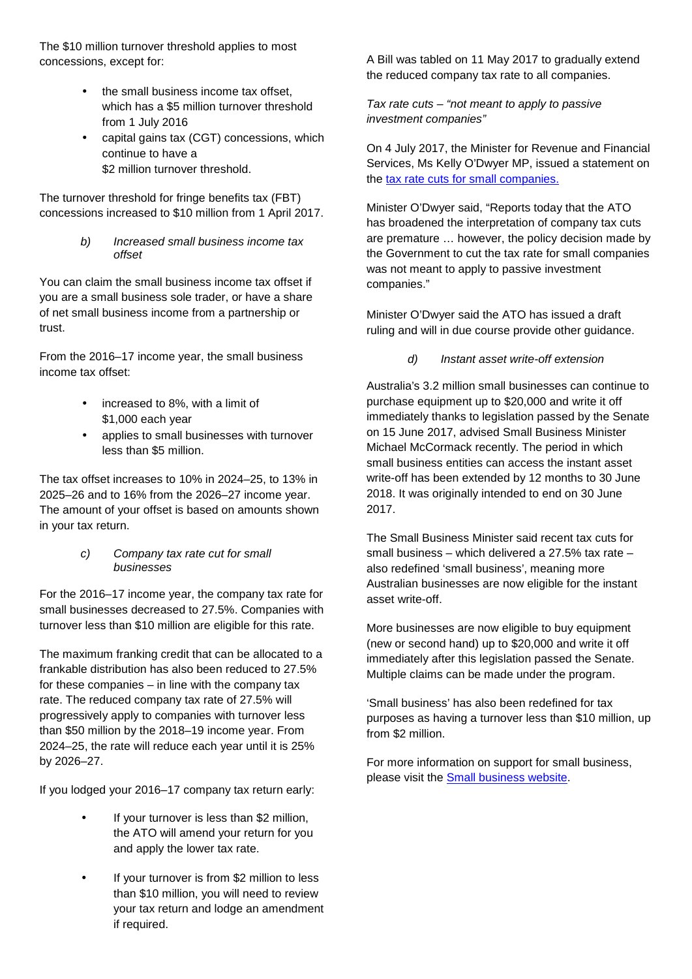The \$10 million turnover threshold applies to most concessions, except for:

- the small business income tax offset, which has a \$5 million turnover threshold from 1 July 2016
- capital gains tax (CGT) concessions, which continue to have a \$2 million turnover threshold.

The turnover threshold for fringe benefits tax (FBT) concessions increased to \$10 million from 1 April 2017.

> *b) Increased small business income tax offset*

You can claim the small business income tax offset if you are a small business sole trader, or have a share of net small business income from a partnership or trust.

From the 2016–17 income year, the small business income tax offset:

- increased to 8%, with a limit of \$1,000 each year
- applies to small businesses with turnover less than \$5 million.

The tax offset increases to 10% in 2024–25, to 13% in 2025–26 and to 16% from the 2026–27 income year. The amount of your offset is based on amounts shown in your tax return.

> *c) Company tax rate cut for small businesses*

For the 2016–17 income year, the company tax rate for small businesses decreased to 27.5%. Companies with turnover less than \$10 million are eligible for this rate.

The maximum franking credit that can be allocated to a frankable distribution has also been reduced to 27.5% for these companies – in line with the company tax rate. The reduced company tax rate of 27.5% will progressively apply to companies with turnover less than \$50 million by the 2018–19 income year. From 2024–25, the rate will reduce each year until it is 25% by 2026–27.

If you lodged your 2016–17 company tax return early:

- If your turnover is less than \$2 million, the ATO will amend your return for you and apply the lower tax rate.
- If your turnover is from \$2 million to less than \$10 million, you will need to review your tax return and lodge an amendment if required.

A Bill was tabled on 11 May 2017 to gradually extend the reduced company tax rate to all companies.

*Tax rate cuts – "not meant to apply to passive investment companies"*

On 4 July 2017, the Minister for Revenue and Financial Services, Ms Kelly O'Dwyer MP, issued a statement on the tax rate cuts for small companies.

Minister O'Dwyer said, "Reports today that the ATO has broadened the interpretation of company tax cuts are premature … however, the policy decision made by the Government to cut the tax rate for small companies was not meant to apply to passive investment companies."

Minister O'Dwyer said the ATO has issued a draft ruling and will in due course provide other guidance.

*d) Instant asset write-off extension*

Australia's 3.2 million small businesses can continue to purchase equipment up to \$20,000 and write it off immediately thanks to legislation passed by the Senate on 15 June 2017, advised Small Business Minister Michael McCormack recently. The period in which small business entities can access the instant asset write-off has been extended by 12 months to 30 June 2018. It was originally intended to end on 30 June 2017.

The Small Business Minister said recent tax cuts for small business – which delivered a 27.5% tax rate – also redefined 'small business', meaning more Australian businesses are now eligible for the instant asset write-off.

More businesses are now eligible to buy equipment (new or second hand) up to \$20,000 and write it off immediately after this legislation passed the Senate. Multiple claims can be made under the program.

'Small business' has also been redefined for tax purposes as having a turnover less than \$10 million, up from \$2 million.

For more information on support for small business, please visit the **Small business website**.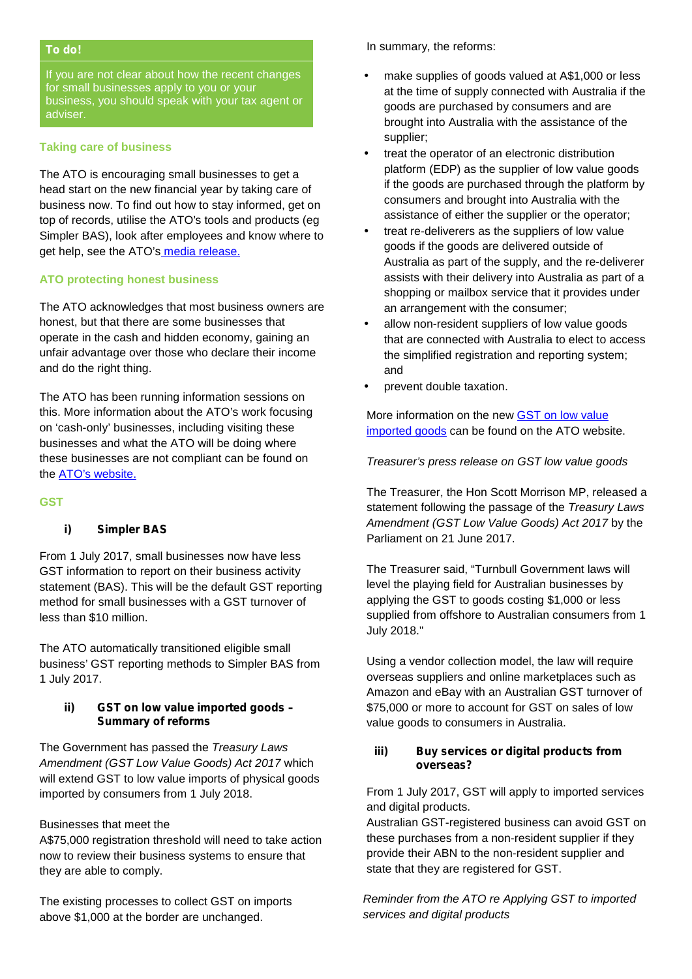#### *To do!*

If you are not clear about how the recent changes for small businesses apply to you or your business, you should speak with your tax agent or adviser.

#### **Taking care of business**

The ATO is encouraging small businesses to get a head start on the new financial year by taking care of business now. To find out how to stay informed, get on top of records, utilise the ATO's tools and products (eg Simpler BAS), look after employees and know where to get help, see the ATO's media release.

#### **ATO protecting honest business**

The ATO acknowledges that most business owners are honest, but that there are some businesses that operate in the cash and hidden economy, gaining an unfair advantage over those who declare their income and do the right thing.

The ATO has been running information sessions on this. More information about the ATO's work focusing on 'cash-only' businesses, including visiting these businesses and what the ATO will be doing where these businesses are not compliant can be found on the **ATO's website.** 

#### **GST**

#### *i) Simpler BAS*

From 1 July 2017, small businesses now have less GST information to report on their business activity statement (BAS). This will be the default GST reporting method for small businesses with a GST turnover of less than \$10 million.

The ATO automatically transitioned eligible small business' GST reporting methods to Simpler BAS from 1 July 2017.

#### *ii) GST on low value imported goods – Summary of reforms*

The Government has passed the *Treasury Laws Amendment (GST Low Value Goods) Act 2017* which will extend GST to low value imports of physical goods imported by consumers from 1 July 2018.

#### Businesses that meet the

A\$75,000 registration threshold will need to take action now to review their business systems to ensure that they are able to comply.

The existing processes to collect GST on imports above \$1,000 at the border are unchanged.

In summary, the reforms:

- make supplies of goods valued at A\$1,000 or less at the time of supply connected with Australia if the goods are purchased by consumers and are brought into Australia with the assistance of the supplier;
- treat the operator of an electronic distribution platform (EDP) as the supplier of low value goods if the goods are purchased through the platform by consumers and brought into Australia with the assistance of either the supplier or the operator;
- treat re-deliverers as the suppliers of low value goods if the goods are delivered outside of Australia as part of the supply, and the re-deliverer assists with their delivery into Australia as part of a shopping or mailbox service that it provides under an arrangement with the consumer;
- allow non-resident suppliers of low value goods that are connected with Australia to elect to access the simplified registration and reporting system; and
- prevent double taxation.

More information on the new GST on low value imported goods can be found on the ATO website.

#### *Treasurer's press release on GST low value goods*

The Treasurer, the Hon Scott Morrison MP, released a statement following the passage of the *Treasury Laws Amendment (GST Low Value Goods) Act 2017* by the Parliament on 21 June 2017.

The Treasurer said, "Turnbull Government laws will level the playing field for Australian businesses by applying the GST to goods costing \$1,000 or less supplied from offshore to Australian consumers from 1 July 2018."

Using a vendor collection model, the law will require overseas suppliers and online marketplaces such as Amazon and eBay with an Australian GST turnover of \$75,000 or more to account for GST on sales of low value goods to consumers in Australia.

#### *iii) Buy services or digital products from overseas?*

From 1 July 2017, GST will apply to imported services and digital products.

Australian GST-registered business can avoid GST on these purchases from a non-resident supplier if they provide their ABN to the non-resident supplier and state that they are registered for GST.

*Reminder from the ATO re Applying GST to imported services and digital products*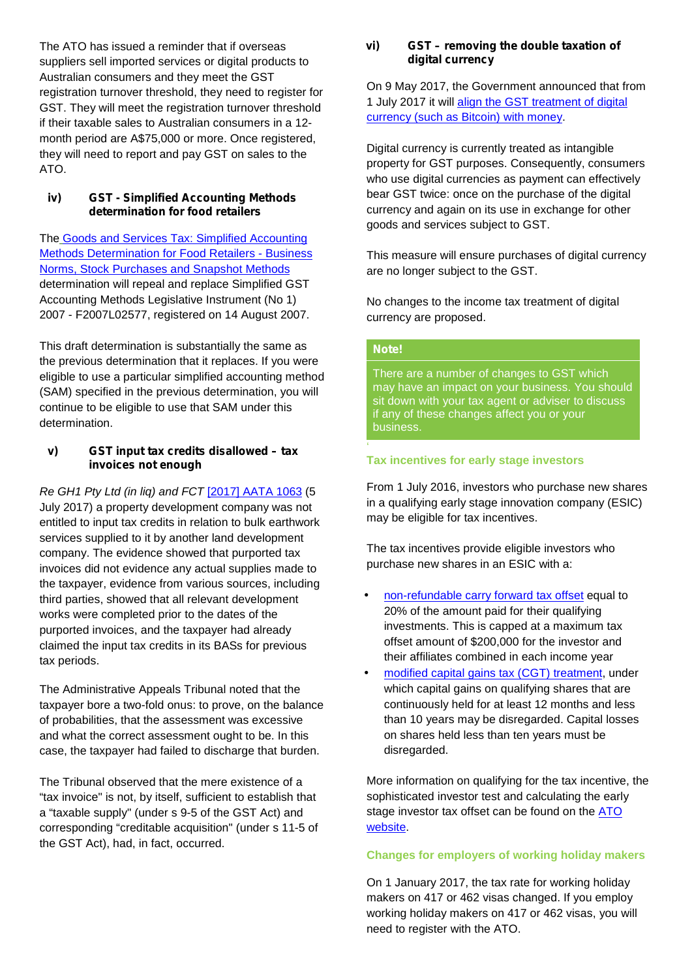The ATO has issued a reminder that if overseas suppliers sell imported services or digital products to Australian consumers and they meet the GST registration turnover threshold, they need to register for GST. They will meet the registration turnover threshold if their taxable sales to Australian consumers in a 12 month period are A\$75,000 or more. Once registered, they will need to report and pay GST on sales to the ATO.

#### *iv) GST - Simplified Accounting Methods determination for food retailers*

The Goods and Services Tax: Simplified Accounting Methods Determination for Food Retailers - Business Norms, Stock Purchases and Snapshot Methods determination will repeal and replace Simplified GST Accounting Methods Legislative Instrument (No 1) 2007 - F2007L02577, registered on 14 August 2007.

This draft determination is substantially the same as the previous determination that it replaces. If you were eligible to use a particular simplified accounting method (SAM) specified in the previous determination, you will continue to be eligible to use that SAM under this determination.

#### *v) GST input tax credits disallowed – tax invoices not enough*

*Re GH1 Pty Ltd (in liq) and FCT* [2017] AATA 1063 (5 July 2017) a property development company was not entitled to input tax credits in relation to bulk earthwork services supplied to it by another land development company. The evidence showed that purported tax invoices did not evidence any actual supplies made to the taxpayer, evidence from various sources, including third parties, showed that all relevant development works were completed prior to the dates of the purported invoices, and the taxpayer had already claimed the input tax credits in its BASs for previous tax periods.

The Administrative Appeals Tribunal noted that the taxpayer bore a two-fold onus: to prove, on the balance of probabilities, that the assessment was excessive and what the correct assessment ought to be. In this case, the taxpayer had failed to discharge that burden.

The Tribunal observed that the mere existence of a "tax invoice" is not, by itself, sufficient to establish that a "taxable supply" (under s 9-5 of the GST Act) and corresponding "creditable acquisition" (under s 11-5 of the GST Act), had, in fact, occurred.

#### *vi) GST – removing the double taxation of digital currency*

On 9 May 2017, the Government announced that from 1 July 2017 it will align the GST treatment of digital currency (such as Bitcoin) with money.

Digital currency is currently treated as intangible property for GST purposes. Consequently, consumers who use digital currencies as payment can effectively bear GST twice: once on the purchase of the digital currency and again on its use in exchange for other goods and services subject to GST.

This measure will ensure purchases of digital currency are no longer subject to the GST.

No changes to the income tax treatment of digital currency are proposed.

### *Note!*

There are a number of changes to GST which may have an impact on your business. You should sit down with your tax agent or adviser to discuss if any of these changes affect you or your business.

#### '**Tax incentives for early stage investors**

From 1 July 2016, investors who purchase new shares in a qualifying early stage innovation company (ESIC) may be eligible for tax incentives.

The tax incentives provide eligible investors who purchase new shares in an ESIC with a:

- non-refundable carry forward tax offset equal to 20% of the amount paid for their qualifying investments. This is capped at a maximum tax offset amount of \$200,000 for the investor and their affiliates combined in each income year
- modified capital gains tax (CGT) treatment, under which capital gains on qualifying shares that are continuously held for at least 12 months and less than 10 years may be disregarded. Capital losses on shares held less than ten years must be disregarded.

More information on qualifying for the tax incentive, the sophisticated investor test and calculating the early stage investor tax offset can be found on the ATO website.

#### **Changes for employers of working holiday makers**

On 1 January 2017, the tax rate for working holiday makers on 417 or 462 visas changed. If you employ working holiday makers on 417 or 462 visas, you will need to register with the ATO.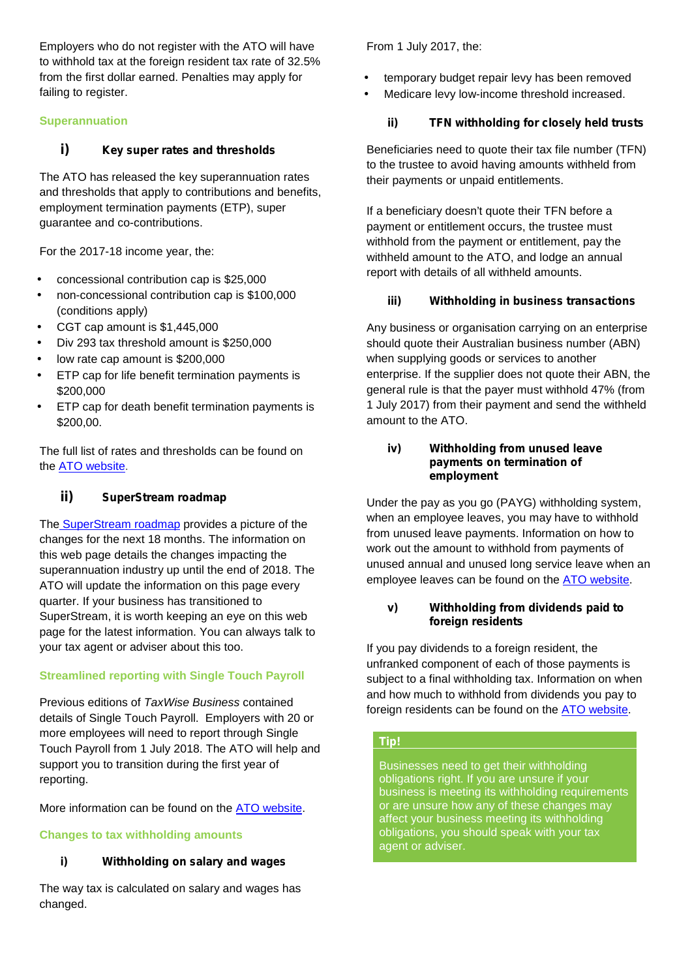Employers who do not register with the ATO will have to withhold tax at the foreign resident tax rate of 32.5% from the first dollar earned. Penalties may apply for failing to register.

## **Superannuation**

# *i) Key super rates and thresholds*

The ATO has released the key superannuation rates and thresholds that apply to contributions and benefits, employment termination payments (ETP), super guarantee and co-contributions.

For the 2017-18 income year, the:

- concessional contribution cap is \$25,000
- non-concessional contribution cap is \$100,000 (conditions apply)
- CGT cap amount is \$1,445,000
- Div 293 tax threshold amount is \$250,000
- low rate cap amount is \$200,000
- ETP cap for life benefit termination payments is \$200,000
- ETP cap for death benefit termination payments is \$200,00.

The full list of rates and thresholds can be found on the ATO website.

# *ii) SuperStream roadmap*

The SuperStream roadmap provides a picture of the changes for the next 18 months. The information on this web page details the changes impacting the superannuation industry up until the end of 2018. The ATO will update the information on this page every quarter. If your business has transitioned to SuperStream, it is worth keeping an eye on this web page for the latest information. You can always talk to your tax agent or adviser about this too.

# **Streamlined reporting with Single Touch Payroll**

Previous editions of *TaxWise Business* contained details of Single Touch Payroll. Employers with 20 or more employees will need to report through Single Touch Payroll from 1 July 2018. The ATO will help and support you to transition during the first year of reporting.

More information can be found on the ATO website.

# **Changes to tax withholding amounts**

# *i) Withholding on salary and wages*

The way tax is calculated on salary and wages has changed.

From 1 July 2017, the:

- temporary budget repair levy has been removed
	- Medicare levy low-income threshold increased.

## *ii) TFN withholding for closely held trusts*

Beneficiaries need to quote their tax file number (TFN) to the trustee to avoid having amounts withheld from their payments or unpaid entitlements.

If a beneficiary doesn't quote their TFN before a payment or entitlement occurs, the trustee must withhold from the payment or entitlement, pay the withheld amount to the ATO, and lodge an annual report with details of all withheld amounts.

## *iii) Withholding in business transactions*

Any business or organisation carrying on an enterprise should quote their Australian business number (ABN) when supplying goods or services to another enterprise. If the supplier does not quote their ABN, the general rule is that the payer must withhold 47% (from 1 July 2017) from their payment and send the withheld amount to the ATO.

#### *iv) Withholding from unused leave payments on termination of employment*

Under the pay as you go (PAYG) withholding system, when an employee leaves, you may have to withhold from unused leave payments. Information on how to work out the amount to withhold from payments of unused annual and unused long service leave when an employee leaves can be found on the ATO website.

## *v) Withholding from dividends paid to foreign residents*

If you pay dividends to a foreign resident, the unfranked component of each of those payments is subject to a final withholding tax. Information on when and how much to withhold from dividends you pay to foreign residents can be found on the ATO website.

## *Tip!*

Businesses need to get their withholding obligations right. If you are unsure if your business is meeting its withholding requirements or are unsure how any of these changes may affect your business meeting its withholding obligations, you should speak with your tax agent or adviser.